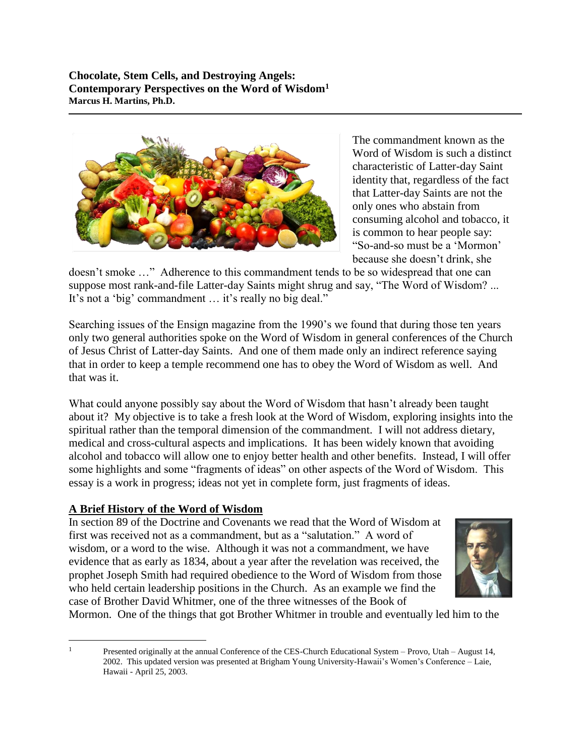**Chocolate, Stem Cells, and Destroying Angels: Contemporary Perspectives on the Word of Wisdom<sup>1</sup> Marcus H. Martins, Ph.D.**



The commandment known as the Word of Wisdom is such a distinct characteristic of Latter-day Saint identity that, regardless of the fact that Latter-day Saints are not the only ones who abstain from consuming alcohol and tobacco, it is common to hear people say: "So-and-so must be a 'Mormon' because she doesn't drink, she

doesn't smoke …" Adherence to this commandment tends to be so widespread that one can suppose most rank-and-file Latter-day Saints might shrug and say, "The Word of Wisdom? ... It's not a 'big' commandment … it's really no big deal."

Searching issues of the Ensign magazine from the 1990's we found that during those ten years only two general authorities spoke on the Word of Wisdom in general conferences of the Church of Jesus Christ of Latter-day Saints. And one of them made only an indirect reference saying that in order to keep a temple recommend one has to obey the Word of Wisdom as well. And that was it.

What could anyone possibly say about the Word of Wisdom that hasn't already been taught about it? My objective is to take a fresh look at the Word of Wisdom, exploring insights into the spiritual rather than the temporal dimension of the commandment. I will not address dietary, medical and cross-cultural aspects and implications. It has been widely known that avoiding alcohol and tobacco will allow one to enjoy better health and other benefits. Instead, I will offer some highlights and some "fragments of ideas" on other aspects of the Word of Wisdom. This essay is a work in progress; ideas not yet in complete form, just fragments of ideas.

# **A Brief History of the Word of Wisdom**

 $\overline{a}$ 

In section 89 of the Doctrine and Covenants we read that the Word of Wisdom at first was received not as a commandment, but as a "salutation." A word of wisdom, or a word to the wise. Although it was not a commandment, we have evidence that as early as 1834, about a year after the revelation was received, the prophet Joseph Smith had required obedience to the Word of Wisdom from those who held certain leadership positions in the Church. As an example we find the case of Brother David Whitmer, one of the three witnesses of the Book of



Mormon. One of the things that got Brother Whitmer in trouble and eventually led him to the

<sup>&</sup>lt;sup>1</sup> Presented originally at the annual Conference of the CES-Church Educational System – Provo, Utah – August 14, 2002. This updated version was presented at Brigham Young University-Hawaii's Women's Conference – Laie, Hawaii - April 25, 2003.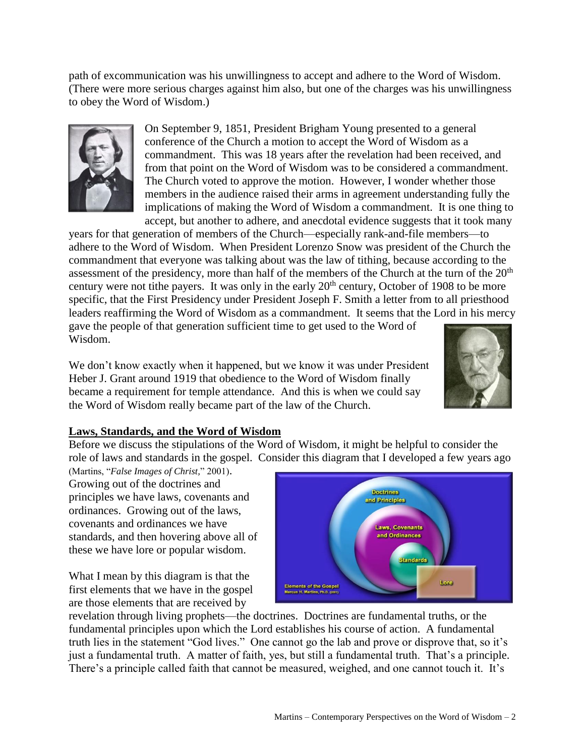path of excommunication was his unwillingness to accept and adhere to the Word of Wisdom. (There were more serious charges against him also, but one of the charges was his unwillingness to obey the Word of Wisdom.)

> On September 9, 1851, President Brigham Young presented to a general conference of the Church a motion to accept the Word of Wisdom as a commandment. This was 18 years after the revelation had been received, and from that point on the Word of Wisdom was to be considered a commandment. The Church voted to approve the motion. However, I wonder whether those members in the audience raised their arms in agreement understanding fully the implications of making the Word of Wisdom a commandment. It is one thing to accept, but another to adhere, and anecdotal evidence suggests that it took many

years for that generation of members of the Church—especially rank-and-file members—to adhere to the Word of Wisdom. When President Lorenzo Snow was president of the Church the commandment that everyone was talking about was the law of tithing, because according to the assessment of the presidency, more than half of the members of the Church at the turn of the 20<sup>th</sup> century were not tithe payers. It was only in the early  $20<sup>th</sup>$  century, October of 1908 to be more specific, that the First Presidency under President Joseph F. Smith a letter from to all priesthood leaders reaffirming the Word of Wisdom as a commandment. It seems that the Lord in his mercy gave the people of that generation sufficient time to get used to the Word of Wisdom.

We don't know exactly when it happened, but we know it was under President Heber J. Grant around 1919 that obedience to the Word of Wisdom finally became a requirement for temple attendance. And this is when we could say the Word of Wisdom really became part of the law of the Church.



Before we discuss the stipulations of the Word of Wisdom, it might be helpful to consider the role of laws and standards in the gospel. Consider this diagram that I developed a few years ago

(Martins, "*False Images of Christ,*" 2001). Growing out of the doctrines and principles we have laws, covenants and ordinances. Growing out of the laws, covenants and ordinances we have standards, and then hovering above all of these we have lore or popular wisdom.

What I mean by this diagram is that the first elements that we have in the gospel are those elements that are received by

**Doctrines** and Principles aws, Covenants and Ordinances **Standards** Lore Elements of the Gospel<br>Marcus H. Martins, Ph.D. (2001)

revelation through living prophets—the doctrines. Doctrines are fundamental truths, or the fundamental principles upon which the Lord establishes his course of action. A fundamental truth lies in the statement "God lives." One cannot go the lab and prove or disprove that, so it's just a fundamental truth. A matter of faith, yes, but still a fundamental truth. That's a principle. There's a principle called faith that cannot be measured, weighed, and one cannot touch it. It's



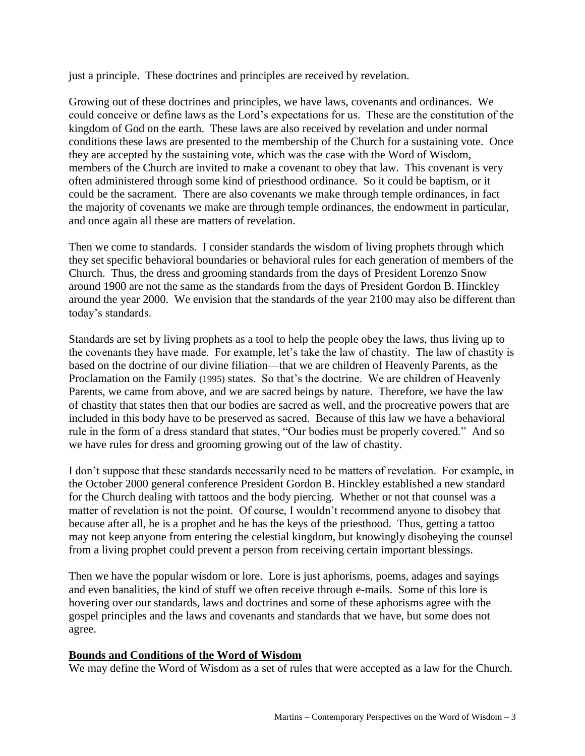just a principle. These doctrines and principles are received by revelation.

Growing out of these doctrines and principles, we have laws, covenants and ordinances. We could conceive or define laws as the Lord's expectations for us. These are the constitution of the kingdom of God on the earth. These laws are also received by revelation and under normal conditions these laws are presented to the membership of the Church for a sustaining vote. Once they are accepted by the sustaining vote, which was the case with the Word of Wisdom, members of the Church are invited to make a covenant to obey that law. This covenant is very often administered through some kind of priesthood ordinance. So it could be baptism, or it could be the sacrament. There are also covenants we make through temple ordinances, in fact the majority of covenants we make are through temple ordinances, the endowment in particular, and once again all these are matters of revelation.

Then we come to standards. I consider standards the wisdom of living prophets through which they set specific behavioral boundaries or behavioral rules for each generation of members of the Church. Thus, the dress and grooming standards from the days of President Lorenzo Snow around 1900 are not the same as the standards from the days of President Gordon B. Hinckley around the year 2000. We envision that the standards of the year 2100 may also be different than today's standards.

Standards are set by living prophets as a tool to help the people obey the laws, thus living up to the covenants they have made. For example, let's take the law of chastity. The law of chastity is based on the doctrine of our divine filiation—that we are children of Heavenly Parents, as the Proclamation on the Family (1995) states. So that's the doctrine. We are children of Heavenly Parents, we came from above, and we are sacred beings by nature. Therefore, we have the law of chastity that states then that our bodies are sacred as well, and the procreative powers that are included in this body have to be preserved as sacred. Because of this law we have a behavioral rule in the form of a dress standard that states, "Our bodies must be properly covered." And so we have rules for dress and grooming growing out of the law of chastity.

I don't suppose that these standards necessarily need to be matters of revelation. For example, in the October 2000 general conference President Gordon B. Hinckley established a new standard for the Church dealing with tattoos and the body piercing. Whether or not that counsel was a matter of revelation is not the point. Of course, I wouldn't recommend anyone to disobey that because after all, he is a prophet and he has the keys of the priesthood. Thus, getting a tattoo may not keep anyone from entering the celestial kingdom, but knowingly disobeying the counsel from a living prophet could prevent a person from receiving certain important blessings.

Then we have the popular wisdom or lore. Lore is just aphorisms, poems, adages and sayings and even banalities, the kind of stuff we often receive through e-mails. Some of this lore is hovering over our standards, laws and doctrines and some of these aphorisms agree with the gospel principles and the laws and covenants and standards that we have, but some does not agree.

### **Bounds and Conditions of the Word of Wisdom**

We may define the Word of Wisdom as a set of rules that were accepted as a law for the Church.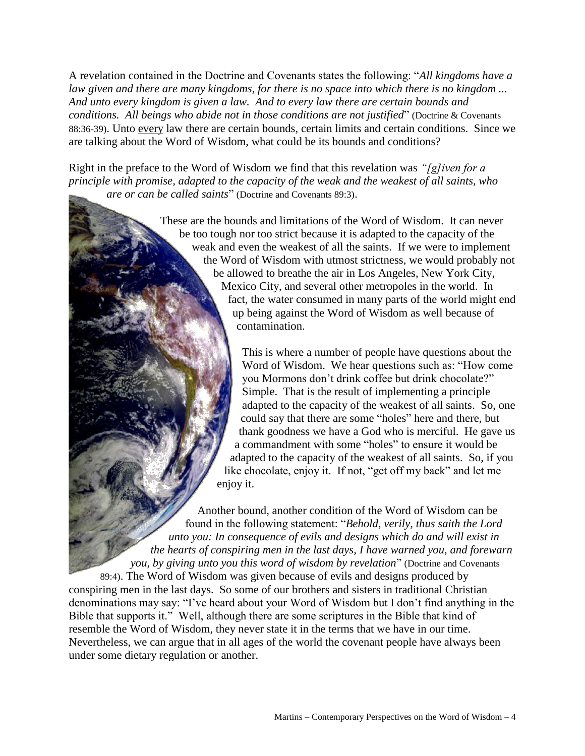A revelation contained in the Doctrine and Covenants states the following: "*All kingdoms have a law given and there are many kingdoms, for there is no space into which there is no kingdom ... And unto every kingdom is given a law. And to every law there are certain bounds and conditions. All beings who abide not in those conditions are not justified*" (Doctrine & Covenants 88:36-39). Unto every law there are certain bounds, certain limits and certain conditions. Since we are talking about the Word of Wisdom, what could be its bounds and conditions?

Right in the preface to the Word of Wisdom we find that this revelation was *"[g]iven for a principle with promise, adapted to the capacity of the weak and the weakest of all saints, who are or can be called saints*" (Doctrine and Covenants 89:3).

> These are the bounds and limitations of the Word of Wisdom. It can never be too tough nor too strict because it is adapted to the capacity of the weak and even the weakest of all the saints. If we were to implement the Word of Wisdom with utmost strictness, we would probably not be allowed to breathe the air in Los Angeles, New York City, Mexico City, and several other metropoles in the world. In fact, the water consumed in many parts of the world might end up being against the Word of Wisdom as well because of contamination.

> > This is where a number of people have questions about the Word of Wisdom. We hear questions such as: "How come you Mormons don't drink coffee but drink chocolate?" Simple. That is the result of implementing a principle adapted to the capacity of the weakest of all saints. So, one could say that there are some "holes" here and there, but thank goodness we have a God who is merciful. He gave us a commandment with some "holes" to ensure it would be adapted to the capacity of the weakest of all saints. So, if you like chocolate, enjoy it. If not, "get off my back" and let me enjoy it.

Another bound, another condition of the Word of Wisdom can be found in the following statement: "*Behold, verily, thus saith the Lord unto you: In consequence of evils and designs which do and will exist in the hearts of conspiring men in the last days, I have warned you, and forewarn you, by giving unto you this word of wisdom by revelation*" (Doctrine and Covenants 89:4). The Word of Wisdom was given because of evils and designs produced by conspiring men in the last days. So some of our brothers and sisters in traditional Christian denominations may say: "I've heard about your Word of Wisdom but I don't find anything in the Bible that supports it." Well, although there are some scriptures in the Bible that kind of resemble the Word of Wisdom, they never state it in the terms that we have in our time. Nevertheless, we can argue that in all ages of the world the covenant people have always been under some dietary regulation or another.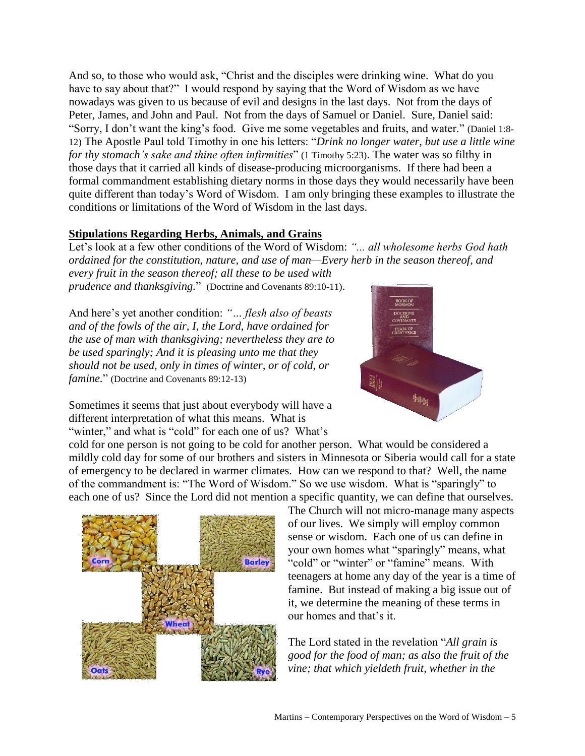And so, to those who would ask, "Christ and the disciples were drinking wine. What do you have to say about that?" I would respond by saying that the Word of Wisdom as we have nowadays was given to us because of evil and designs in the last days. Not from the days of Peter, James, and John and Paul. Not from the days of Samuel or Daniel. Sure, Daniel said: "Sorry, I don't want the king's food. Give me some vegetables and fruits, and water." (Daniel 1:8- 12) The Apostle Paul told Timothy in one his letters: "*Drink no longer water, but use a little wine for thy stomach's sake and thine often infirmities*" (1 Timothy 5:23). The water was so filthy in those days that it carried all kinds of disease-producing microorganisms. If there had been a formal commandment establishing dietary norms in those days they would necessarily have been quite different than today's Word of Wisdom. I am only bringing these examples to illustrate the conditions or limitations of the Word of Wisdom in the last days.

### **Stipulations Regarding Herbs, Animals, and Grains**

Let's look at a few other conditions of the Word of Wisdom: *"... all wholesome herbs God hath ordained for the constitution, nature, and use of man—Every herb in the season thereof, and every fruit in the season thereof; all these to be used with* 

*prudence and thanksgiving.*" (Doctrine and Covenants 89:10-11).

And here's yet another condition: *"… flesh also of beasts and of the fowls of the air, I, the Lord, have ordained for the use of man with thanksgiving; nevertheless they are to be used sparingly; And it is pleasing unto me that they should not be used, only in times of winter, or of cold, or famine.*" (Doctrine and Covenants 89:12-13)

Sometimes it seems that just about everybody will have a different interpretation of what this means. What is "winter," and what is "cold" for each one of us? What's

cold for one person is not going to be cold for another person. What would be considered a mildly cold day for some of our brothers and sisters in Minnesota or Siberia would call for a state of emergency to be declared in warmer climates. How can we respond to that? Well, the name of the commandment is: "The Word of Wisdom." So we use wisdom. What is "sparingly" to each one of us? Since the Lord did not mention a specific quantity, we can define that ourselves.

> The Church will not micro-manage many aspects of our lives. We simply will employ common sense or wisdom. Each one of us can define in your own homes what "sparingly" means, what "cold" or "winter" or "famine" means. With teenagers at home any day of the year is a time of famine. But instead of making a big issue out of it, we determine the meaning of these terms in our homes and that's it.

The Lord stated in the revelation "*All grain is good for the food of man; as also the fruit of the vine; that which yieldeth fruit, whether in the* 



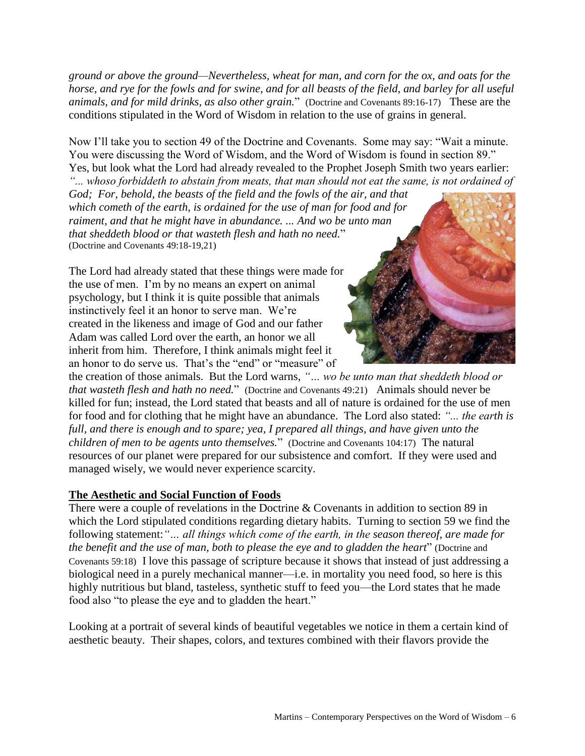*ground or above the ground—Nevertheless, wheat for man, and corn for the ox, and oats for the horse, and rye for the fowls and for swine, and for all beasts of the field, and barley for all useful animals, and for mild drinks, as also other grain.*" (Doctrine and Covenants 89:16-17) These are the conditions stipulated in the Word of Wisdom in relation to the use of grains in general.

Now I'll take you to section 49 of the Doctrine and Covenants. Some may say: "Wait a minute. You were discussing the Word of Wisdom, and the Word of Wisdom is found in section 89." Yes, but look what the Lord had already revealed to the Prophet Joseph Smith two years earlier: *"... whoso forbiddeth to abstain from meats, that man should not eat the same, is not ordained of* 

*God; For, behold, the beasts of the field and the fowls of the air, and that which cometh of the earth, is ordained for the use of man for food and for raiment, and that he might have in abundance. ... And wo be unto man that sheddeth blood or that wasteth flesh and hath no need.*" (Doctrine and Covenants 49:18-19,21)

The Lord had already stated that these things were made for the use of men. I'm by no means an expert on animal psychology, but I think it is quite possible that animals instinctively feel it an honor to serve man. We're created in the likeness and image of God and our father Adam was called Lord over the earth, an honor we all inherit from him. Therefore, I think animals might feel it an honor to do serve us. That's the "end" or "measure" of



the creation of those animals. But the Lord warns, *"… wo be unto man that sheddeth blood or that wasteth flesh and hath no need.*" (Doctrine and Covenants 49:21) Animals should never be killed for fun; instead, the Lord stated that beasts and all of nature is ordained for the use of men for food and for clothing that he might have an abundance. The Lord also stated: *"... the earth is*  full, and there is enough and to spare; yea, I prepared all things, and have given unto the *children of men to be agents unto themselves.*" (Doctrine and Covenants 104:17) The natural resources of our planet were prepared for our subsistence and comfort. If they were used and managed wisely, we would never experience scarcity.

### **The Aesthetic and Social Function of Foods**

There were a couple of revelations in the Doctrine & Covenants in addition to section 89 in which the Lord stipulated conditions regarding dietary habits. Turning to section 59 we find the following statement:*"… all things which come of the earth, in the season thereof, are made for the benefit and the use of man, both to please the eye and to gladden the heart*" (Doctrine and Covenants 59:18) I love this passage of scripture because it shows that instead of just addressing a biological need in a purely mechanical manner—i.e. in mortality you need food, so here is this highly nutritious but bland, tasteless, synthetic stuff to feed you—the Lord states that he made food also "to please the eye and to gladden the heart."

Looking at a portrait of several kinds of beautiful vegetables we notice in them a certain kind of aesthetic beauty. Their shapes, colors, and textures combined with their flavors provide the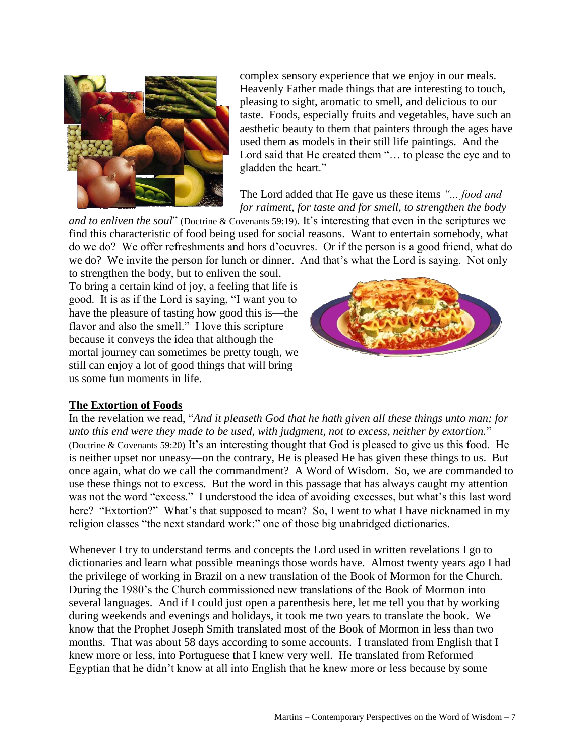

complex sensory experience that we enjoy in our meals. Heavenly Father made things that are interesting to touch, pleasing to sight, aromatic to smell, and delicious to our taste. Foods, especially fruits and vegetables, have such an aesthetic beauty to them that painters through the ages have used them as models in their still life paintings. And the Lord said that He created them "… to please the eye and to gladden the heart."

The Lord added that He gave us these items *"... food and for raiment, for taste and for smell, to strengthen the body* 

*and to enliven the soul*" (Doctrine & Covenants 59:19). It's interesting that even in the scriptures we find this characteristic of food being used for social reasons. Want to entertain somebody, what do we do? We offer refreshments and hors d'oeuvres. Or if the person is a good friend, what do we do? We invite the person for lunch or dinner. And that's what the Lord is saying. Not only

to strengthen the body, but to enliven the soul. To bring a certain kind of joy, a feeling that life is good. It is as if the Lord is saying, "I want you to have the pleasure of tasting how good this is—the flavor and also the smell." I love this scripture because it conveys the idea that although the mortal journey can sometimes be pretty tough, we still can enjoy a lot of good things that will bring us some fun moments in life.



### **The Extortion of Foods**

In the revelation we read, "*And it pleaseth God that he hath given all these things unto man; for unto this end were they made to be used, with judgment, not to excess, neither by extortion.*" (Doctrine & Covenants 59:20) It's an interesting thought that God is pleased to give us this food. He is neither upset nor uneasy—on the contrary, He is pleased He has given these things to us. But once again, what do we call the commandment? A Word of Wisdom. So, we are commanded to use these things not to excess. But the word in this passage that has always caught my attention was not the word "excess." I understood the idea of avoiding excesses, but what's this last word here? "Extortion?" What's that supposed to mean? So, I went to what I have nicknamed in my religion classes "the next standard work:" one of those big unabridged dictionaries.

Whenever I try to understand terms and concepts the Lord used in written revelations I go to dictionaries and learn what possible meanings those words have. Almost twenty years ago I had the privilege of working in Brazil on a new translation of the Book of Mormon for the Church. During the 1980's the Church commissioned new translations of the Book of Mormon into several languages. And if I could just open a parenthesis here, let me tell you that by working during weekends and evenings and holidays, it took me two years to translate the book. We know that the Prophet Joseph Smith translated most of the Book of Mormon in less than two months. That was about 58 days according to some accounts. I translated from English that I knew more or less, into Portuguese that I knew very well. He translated from Reformed Egyptian that he didn't know at all into English that he knew more or less because by some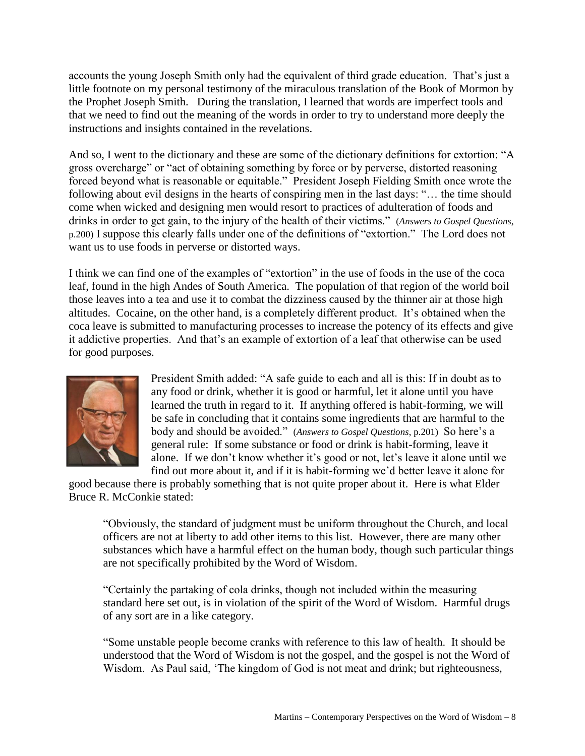accounts the young Joseph Smith only had the equivalent of third grade education. That's just a little footnote on my personal testimony of the miraculous translation of the Book of Mormon by the Prophet Joseph Smith. During the translation, I learned that words are imperfect tools and that we need to find out the meaning of the words in order to try to understand more deeply the instructions and insights contained in the revelations.

And so, I went to the dictionary and these are some of the dictionary definitions for extortion: "A gross overcharge" or "act of obtaining something by force or by perverse, distorted reasoning forced beyond what is reasonable or equitable." President Joseph Fielding Smith once wrote the following about evil designs in the hearts of conspiring men in the last days: "… the time should come when wicked and designing men would resort to practices of adulteration of foods and drinks in order to get gain, to the injury of the health of their victims." (*Answers to Gospel Questions*, p.200) I suppose this clearly falls under one of the definitions of "extortion." The Lord does not want us to use foods in perverse or distorted ways.

I think we can find one of the examples of "extortion" in the use of foods in the use of the coca leaf, found in the high Andes of South America. The population of that region of the world boil those leaves into a tea and use it to combat the dizziness caused by the thinner air at those high altitudes. Cocaine, on the other hand, is a completely different product. It's obtained when the coca leave is submitted to manufacturing processes to increase the potency of its effects and give it addictive properties. And that's an example of extortion of a leaf that otherwise can be used for good purposes.



President Smith added: "A safe guide to each and all is this: If in doubt as to any food or drink, whether it is good or harmful, let it alone until you have learned the truth in regard to it. If anything offered is habit-forming, we will be safe in concluding that it contains some ingredients that are harmful to the body and should be avoided." (*Answers to Gospel Questions*, p.201) So here's a general rule: If some substance or food or drink is habit-forming, leave it alone. If we don't know whether it's good or not, let's leave it alone until we find out more about it, and if it is habit-forming we'd better leave it alone for

good because there is probably something that is not quite proper about it. Here is what Elder Bruce R. McConkie stated:

"Obviously, the standard of judgment must be uniform throughout the Church, and local officers are not at liberty to add other items to this list. However, there are many other substances which have a harmful effect on the human body, though such particular things are not specifically prohibited by the Word of Wisdom.

"Certainly the partaking of cola drinks, though not included within the measuring standard here set out, is in violation of the spirit of the Word of Wisdom. Harmful drugs of any sort are in a like category.

"Some unstable people become cranks with reference to this law of health. It should be understood that the Word of Wisdom is not the gospel, and the gospel is not the Word of Wisdom. As Paul said, 'The kingdom of God is not meat and drink; but righteousness,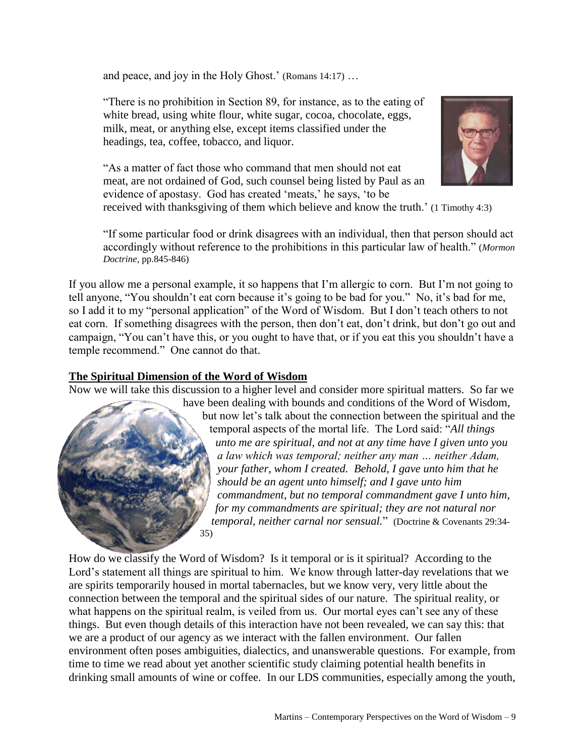and peace, and joy in the Holy Ghost.' (Romans 14:17) …

"There is no prohibition in Section 89, for instance, as to the eating of white bread, using white flour, white sugar, cocoa, chocolate, eggs, milk, meat, or anything else, except items classified under the headings, tea, coffee, tobacco, and liquor.



"As a matter of fact those who command that men should not eat meat, are not ordained of God, such counsel being listed by Paul as an evidence of apostasy. God has created 'meats,' he says, 'to be

received with thanksgiving of them which believe and know the truth.' (1 Timothy 4:3)

"If some particular food or drink disagrees with an individual, then that person should act accordingly without reference to the prohibitions in this particular law of health." (*Mormon Doctrine*, pp.845-846)

If you allow me a personal example, it so happens that I'm allergic to corn. But I'm not going to tell anyone, "You shouldn't eat corn because it's going to be bad for you." No, it's bad for me, so I add it to my "personal application" of the Word of Wisdom. But I don't teach others to not eat corn. If something disagrees with the person, then don't eat, don't drink, but don't go out and campaign, "You can't have this, or you ought to have that, or if you eat this you shouldn't have a temple recommend." One cannot do that.

### **The Spiritual Dimension of the Word of Wisdom**

Now we will take this discussion to a higher level and consider more spiritual matters. So far we



have been dealing with bounds and conditions of the Word of Wisdom, but now let's talk about the connection between the spiritual and the temporal aspects of the mortal life. The Lord said: "*All things unto me are spiritual, and not at any time have I given unto you a law which was temporal; neither any man … neither Adam, your father, whom I created. Behold, I gave unto him that he should be an agent unto himself; and I gave unto him commandment, but no temporal commandment gave I unto him, for my commandments are spiritual; they are not natural nor temporal, neither carnal nor sensual.*" (Doctrine & Covenants 29:34-

How do we classify the Word of Wisdom? Is it temporal or is it spiritual? According to the Lord's statement all things are spiritual to him. We know through latter-day revelations that we are spirits temporarily housed in mortal tabernacles, but we know very, very little about the connection between the temporal and the spiritual sides of our nature. The spiritual reality, or what happens on the spiritual realm, is veiled from us. Our mortal eyes can't see any of these things. But even though details of this interaction have not been revealed, we can say this: that we are a product of our agency as we interact with the fallen environment. Our fallen environment often poses ambiguities, dialectics, and unanswerable questions. For example, from time to time we read about yet another scientific study claiming potential health benefits in drinking small amounts of wine or coffee. In our LDS communities, especially among the youth,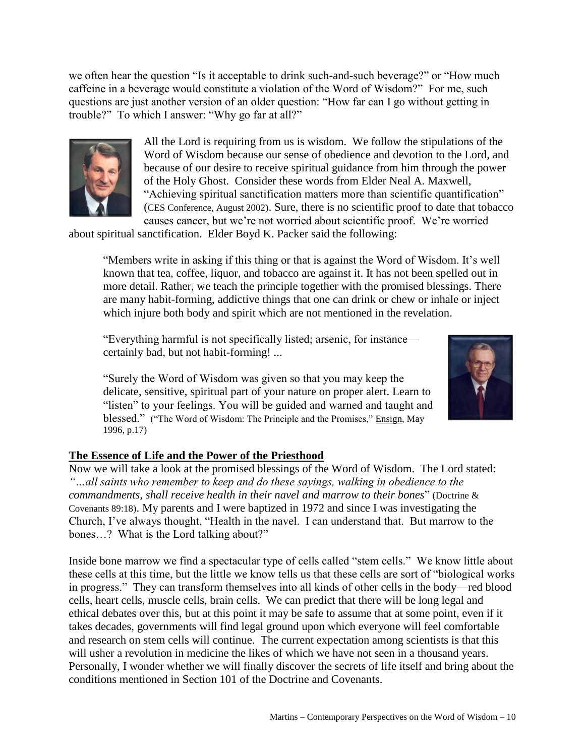we often hear the question "Is it acceptable to drink such-and-such beverage?" or "How much caffeine in a beverage would constitute a violation of the Word of Wisdom?" For me, such questions are just another version of an older question: "How far can I go without getting in trouble?" To which I answer: "Why go far at all?"



All the Lord is requiring from us is wisdom. We follow the stipulations of the Word of Wisdom because our sense of obedience and devotion to the Lord, and because of our desire to receive spiritual guidance from him through the power of the Holy Ghost. Consider these words from Elder Neal A. Maxwell, "Achieving spiritual sanctification matters more than scientific quantification" (CES Conference, August 2002). Sure, there is no scientific proof to date that tobacco causes cancer, but we're not worried about scientific proof. We're worried

about spiritual sanctification. Elder Boyd K. Packer said the following:

"Members write in asking if this thing or that is against the Word of Wisdom. It's well known that tea, coffee, liquor, and tobacco are against it. It has not been spelled out in more detail. Rather, we teach the principle together with the promised blessings. There are many habit-forming, addictive things that one can drink or chew or inhale or inject which injure both body and spirit which are not mentioned in the revelation.

"Everything harmful is not specifically listed; arsenic, for instance certainly bad, but not habit-forming! ...

"Surely the Word of Wisdom was given so that you may keep the delicate, sensitive, spiritual part of your nature on proper alert. Learn to "listen" to your feelings. You will be guided and warned and taught and blessed." ("The Word of Wisdom: The Principle and the Promises," Ensign, May 1996, p.17)



# **The Essence of Life and the Power of the Priesthood**

Now we will take a look at the promised blessings of the Word of Wisdom. The Lord stated: *"…all saints who remember to keep and do these sayings, walking in obedience to the commandments, shall receive health in their navel and marrow to their bones*" (Doctrine & Covenants 89:18). My parents and I were baptized in 1972 and since I was investigating the Church, I've always thought, "Health in the navel. I can understand that. But marrow to the bones…? What is the Lord talking about?"

Inside bone marrow we find a spectacular type of cells called "stem cells." We know little about these cells at this time, but the little we know tells us that these cells are sort of "biological works in progress." They can transform themselves into all kinds of other cells in the body—red blood cells, heart cells, muscle cells, brain cells. We can predict that there will be long legal and ethical debates over this, but at this point it may be safe to assume that at some point, even if it takes decades, governments will find legal ground upon which everyone will feel comfortable and research on stem cells will continue. The current expectation among scientists is that this will usher a revolution in medicine the likes of which we have not seen in a thousand years. Personally, I wonder whether we will finally discover the secrets of life itself and bring about the conditions mentioned in Section 101 of the Doctrine and Covenants.